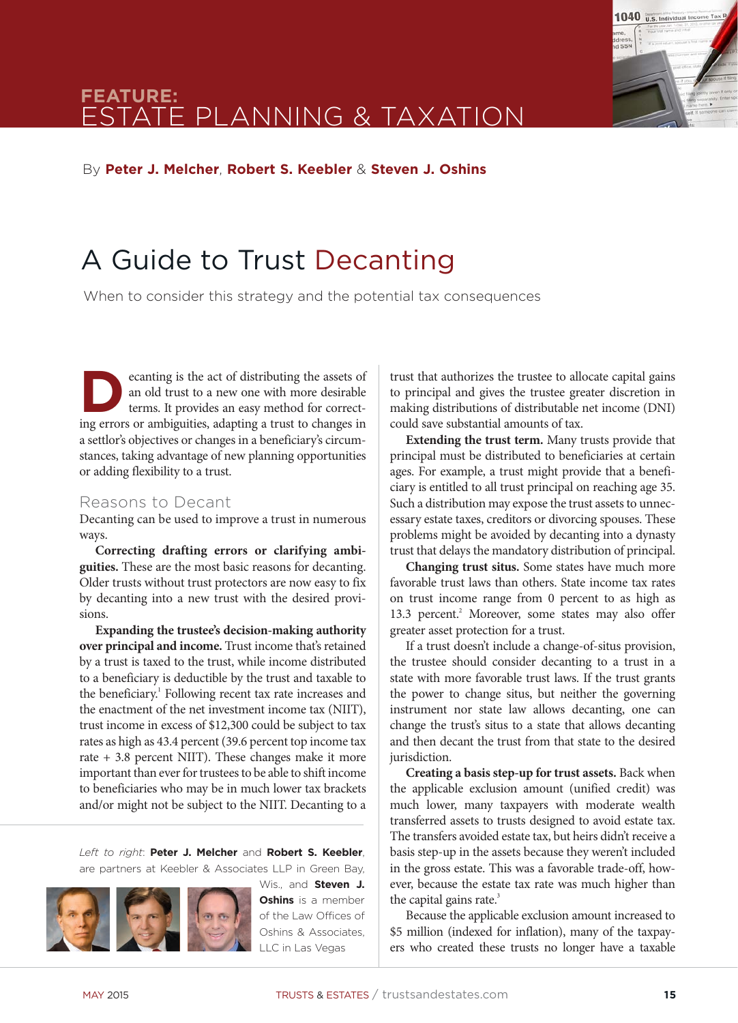

# **feature:** estate planning & taxation

By **Peter J. Melcher**, **Robert S. Keebler** & **Steven J. Oshins**

# A Guide to Trust Decanting

When to consider this strategy and the potential tax consequences

ecanting is the act of distributing the assets of an old trust to a new one with more desirable terms. It provides an easy method for correcting errors or ambiguities, adapting a trust to changes in a settlor's objectives or changes in a beneficiary's circumstances, taking advantage of new planning opportunities or adding flexibility to a trust.

#### Reasons to Decant

Decanting can be used to improve a trust in numerous ways.

**Correcting drafting errors or clarifying ambiguities.** These are the most basic reasons for decanting. Older trusts without trust protectors are now easy to fix by decanting into a new trust with the desired provisions.

**Expanding the trustee's decision-making authority over principal and income.** Trust income that's retained by a trust is taxed to the trust, while income distributed to a beneficiary is deductible by the trust and taxable to the beneficiary.<sup>1</sup> Following recent tax rate increases and the enactment of the net investment income tax (NIIT), trust income in excess of \$12,300 could be subject to tax rates as high as 43.4 percent (39.6 percent top income tax rate + 3.8 percent NIIT). These changes make it more important than ever for trustees to be able to shift income to beneficiaries who may be in much lower tax brackets and/or might not be subject to the NIIT. Decanting to a

*Left to right*: **Peter J. Melcher** and **Robert S. Keebler**, are partners at Keebler & Associates LLP in Green Bay,



**Oshins** is a member of the Law Offices of Oshins & Associates, LLC in Las Vegas

trust that authorizes the trustee to allocate capital gains to principal and gives the trustee greater discretion in making distributions of distributable net income (DNI) could save substantial amounts of tax.

**Extending the trust term.** Many trusts provide that principal must be distributed to beneficiaries at certain ages. For example, a trust might provide that a beneficiary is entitled to all trust principal on reaching age 35. Such a distribution may expose the trust assets to unnecessary estate taxes, creditors or divorcing spouses. These problems might be avoided by decanting into a dynasty trust that delays the mandatory distribution of principal.

**Changing trust situs.** Some states have much more favorable trust laws than others. State income tax rates on trust income range from 0 percent to as high as 13.3 percent.<sup>2</sup> Moreover, some states may also offer greater asset protection for a trust.

If a trust doesn't include a change-of-situs provision, the trustee should consider decanting to a trust in a state with more favorable trust laws. If the trust grants the power to change situs, but neither the governing instrument nor state law allows decanting, one can change the trust's situs to a state that allows decanting and then decant the trust from that state to the desired jurisdiction.

**Creating a basis step-up for trust assets.** Back when the applicable exclusion amount (unified credit) was much lower, many taxpayers with moderate wealth transferred assets to trusts designed to avoid estate tax. The transfers avoided estate tax, but heirs didn't receive a basis step-up in the assets because they weren't included in the gross estate. This was a favorable trade-off, however, because the estate tax rate was much higher than the capital gains rate. $3$ 

Because the applicable exclusion amount increased to \$5 million (indexed for inflation), many of the taxpayers who created these trusts no longer have a taxable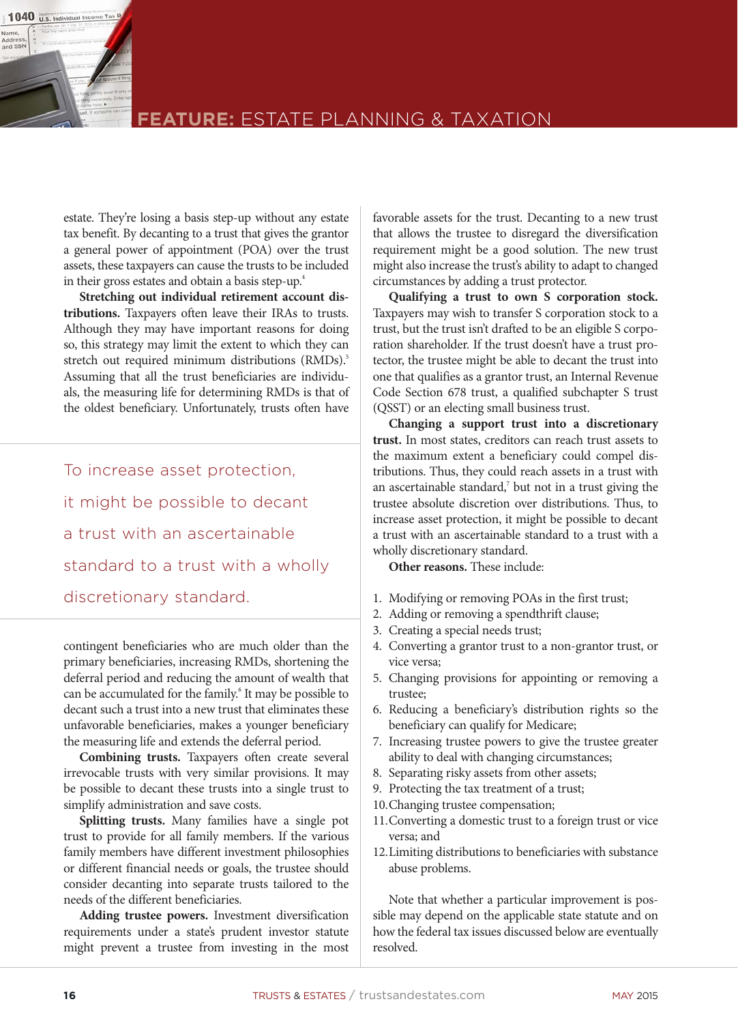

### **feature:** Estate planning & taxation

estate. They're losing a basis step-up without any estate tax benefit. By decanting to a trust that gives the grantor a general power of appointment (POA) over the trust assets, these taxpayers can cause the trusts to be included in their gross estates and obtain a basis step-up.<sup>4</sup>

**Stretching out individual retirement account distributions.** Taxpayers often leave their IRAs to trusts. Although they may have important reasons for doing so, this strategy may limit the extent to which they can stretch out required minimum distributions (RMDs).<sup>5</sup> Assuming that all the trust beneficiaries are individuals, the measuring life for determining RMDs is that of the oldest beneficiary. Unfortunately, trusts often have

To increase asset protection, it might be possible to decant a trust with an ascertainable standard to a trust with a wholly discretionary standard.

contingent beneficiaries who are much older than the primary beneficiaries, increasing RMDs, shortening the deferral period and reducing the amount of wealth that can be accumulated for the family.<sup>6</sup> It may be possible to decant such a trust into a new trust that eliminates these unfavorable beneficiaries, makes a younger beneficiary the measuring life and extends the deferral period.

**Combining trusts.** Taxpayers often create several irrevocable trusts with very similar provisions. It may be possible to decant these trusts into a single trust to simplify administration and save costs.

**Splitting trusts.** Many families have a single pot trust to provide for all family members. If the various family members have different investment philosophies or different financial needs or goals, the trustee should consider decanting into separate trusts tailored to the needs of the different beneficiaries.

**Adding trustee powers.** Investment diversification requirements under a state's prudent investor statute might prevent a trustee from investing in the most

favorable assets for the trust. Decanting to a new trust that allows the trustee to disregard the diversification requirement might be a good solution. The new trust might also increase the trust's ability to adapt to changed circumstances by adding a trust protector.

**Qualifying a trust to own S corporation stock.**  Taxpayers may wish to transfer S corporation stock to a trust, but the trust isn't drafted to be an eligible S corporation shareholder. If the trust doesn't have a trust protector, the trustee might be able to decant the trust into one that qualifies as a grantor trust, an Internal Revenue Code Section 678 trust, a qualified subchapter S trust (QSST) or an electing small business trust.

**Changing a support trust into a discretionary trust.** In most states, creditors can reach trust assets to the maximum extent a beneficiary could compel distributions. Thus, they could reach assets in a trust with an ascertainable standard, $\bar{y}$  but not in a trust giving the trustee absolute discretion over distributions. Thus, to increase asset protection, it might be possible to decant a trust with an ascertainable standard to a trust with a wholly discretionary standard.

**Other reasons.** These include:

- 1. Modifying or removing POAs in the first trust;
- 2. Adding or removing a spendthrift clause;
- 3. Creating a special needs trust;
- 4. Converting a grantor trust to a non-grantor trust, or vice versa;
- 5. Changing provisions for appointing or removing a trustee;
- 6. Reducing a beneficiary's distribution rights so the beneficiary can qualify for Medicare;
- 7. Increasing trustee powers to give the trustee greater ability to deal with changing circumstances;
- 8. Separating risky assets from other assets;
- 9. Protecting the tax treatment of a trust;
- 10.Changing trustee compensation;
- 11.Converting a domestic trust to a foreign trust or vice versa; and
- 12.Limiting distributions to beneficiaries with substance abuse problems.

Note that whether a particular improvement is possible may depend on the applicable state statute and on how the federal tax issues discussed below are eventually resolved.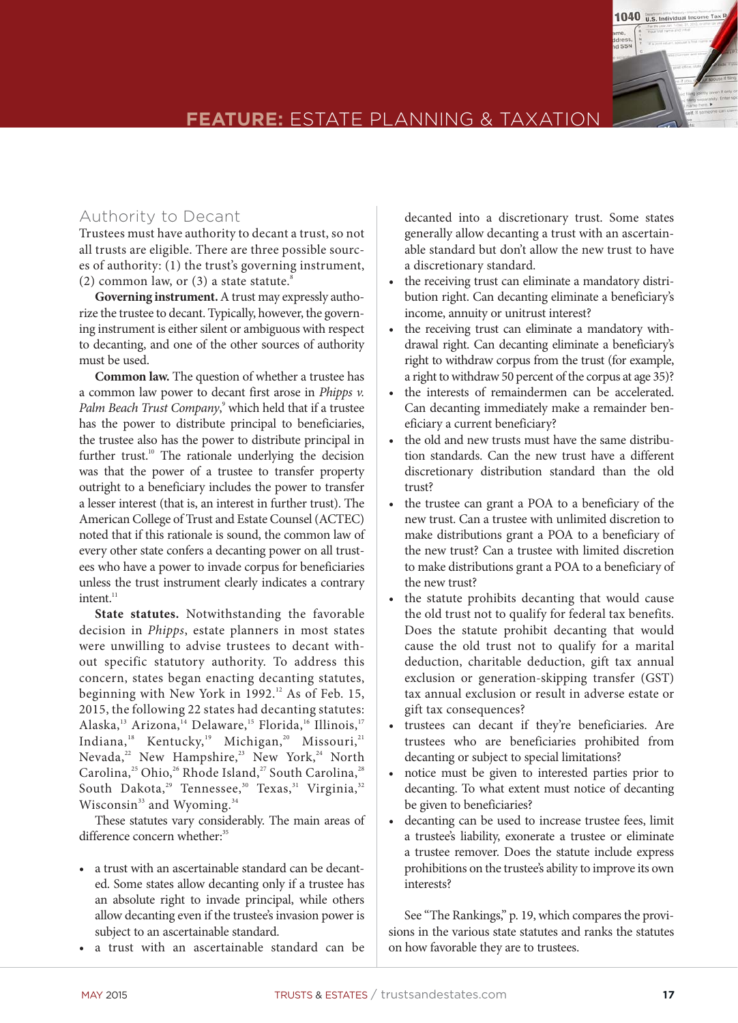

### **FEATURE:** ESTATE PLANNING & TAXATION

#### Authority to Decant

Trustees must have authority to decant a trust, so not all trusts are eligible. There are three possible sources of authority: (1) the trust's governing instrument, (2) common law, or  $(3)$  a state statute.<sup>8</sup>

**Governing instrument.** A trust may expressly authorize the trustee to decant. Typically, however, the governing instrument is either silent or ambiguous with respect to decanting, and one of the other sources of authority must be used.

**Common law.** The question of whether a trustee has a common law power to decant first arose in *Phipps v.*  Palm Beach Trust Company,<sup>9</sup> which held that if a trustee has the power to distribute principal to beneficiaries, the trustee also has the power to distribute principal in further trust.<sup>10</sup> The rationale underlying the decision was that the power of a trustee to transfer property outright to a beneficiary includes the power to transfer a lesser interest (that is, an interest in further trust). The American College of Trust and Estate Counsel (ACTEC) noted that if this rationale is sound, the common law of every other state confers a decanting power on all trustees who have a power to invade corpus for beneficiaries unless the trust instrument clearly indicates a contrary  $int<sub>11</sub>$ 

**State statutes.** Notwithstanding the favorable decision in *Phipps*, estate planners in most states were unwilling to advise trustees to decant without specific statutory authority. To address this concern, states began enacting decanting statutes, beginning with New York in 1992.<sup>12</sup> As of Feb. 15, 2015, the following 22 states had decanting statutes: Alaska,<sup>13</sup> Arizona,<sup>14</sup> Delaware,<sup>15</sup> Florida,<sup>16</sup> Illinois,<sup>17</sup> Indiana,<sup>18</sup> Kentucky,<sup>19</sup> Michigan,<sup>20</sup> Missouri,<sup>21</sup> Nevada,<sup>22</sup> New Hampshire,<sup>23</sup> New York,<sup>24</sup> North Carolina,<sup>25</sup> Ohio,<sup>26</sup> Rhode Island,<sup>27</sup> South Carolina,<sup>28</sup> South Dakota,<sup>29</sup> Tennessee,<sup>30</sup> Texas,<sup>31</sup> Virginia,<sup>32</sup> Wisconsin<sup>33</sup> and Wyoming.<sup>34</sup>

These statutes vary considerably. The main areas of difference concern whether:<sup>35</sup>

- a trust with an ascertainable standard can be decanted. Some states allow decanting only if a trustee has an absolute right to invade principal, while others allow decanting even if the trustee's invasion power is subject to an ascertainable standard.
- a trust with an ascertainable standard can be

decanted into a discretionary trust. Some states generally allow decanting a trust with an ascertainable standard but don't allow the new trust to have a discretionary standard.

- the receiving trust can eliminate a mandatory distribution right. Can decanting eliminate a beneficiary's income, annuity or unitrust interest?
- the receiving trust can eliminate a mandatory withdrawal right. Can decanting eliminate a beneficiary's right to withdraw corpus from the trust (for example, a right to withdraw 50 percent of the corpus at age 35)?
- the interests of remaindermen can be accelerated. Can decanting immediately make a remainder beneficiary a current beneficiary?
- the old and new trusts must have the same distribution standards. Can the new trust have a different discretionary distribution standard than the old trust?
- the trustee can grant a POA to a beneficiary of the new trust. Can a trustee with unlimited discretion to make distributions grant a POA to a beneficiary of the new trust? Can a trustee with limited discretion to make distributions grant a POA to a beneficiary of the new trust?
- the statute prohibits decanting that would cause the old trust not to qualify for federal tax benefits. Does the statute prohibit decanting that would cause the old trust not to qualify for a marital deduction, charitable deduction, gift tax annual exclusion or generation-skipping transfer (GST) tax annual exclusion or result in adverse estate or gift tax consequences?
- trustees can decant if they're beneficiaries. Are trustees who are beneficiaries prohibited from decanting or subject to special limitations?
- notice must be given to interested parties prior to decanting. To what extent must notice of decanting be given to beneficiaries?
- • decanting can be used to increase trustee fees, limit a trustee's liability, exonerate a trustee or eliminate a trustee remover. Does the statute include express prohibitions on the trustee's ability to improve its own interests?

See "The Rankings," p. 19, which compares the provisions in the various state statutes and ranks the statutes on how favorable they are to trustees.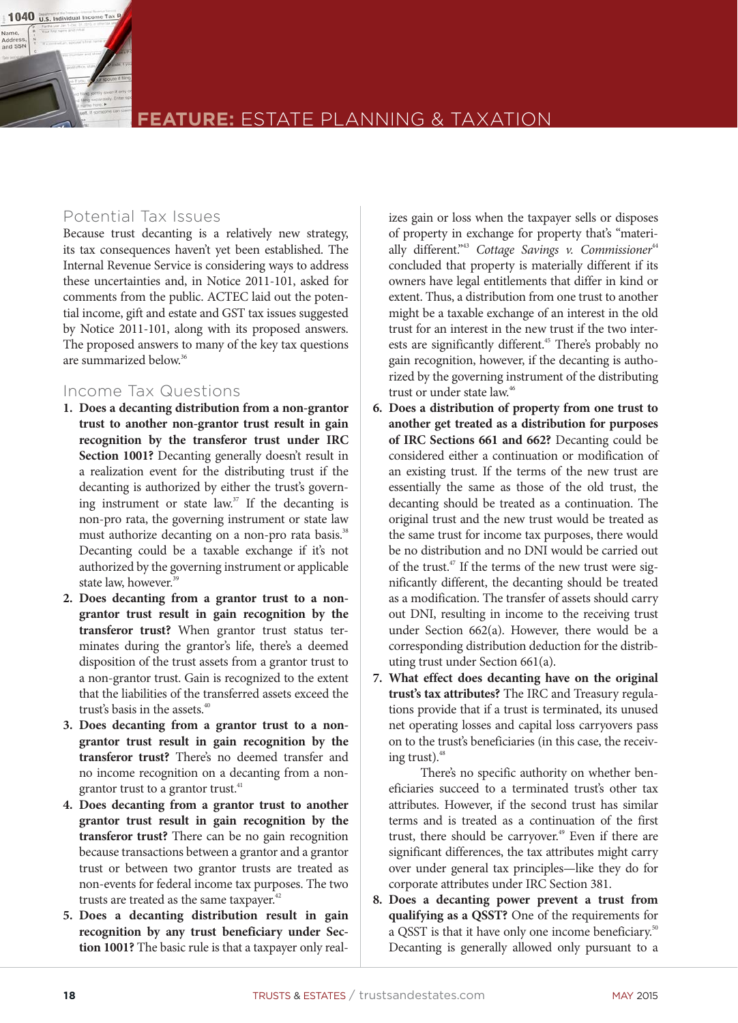

### **feature:** Estate planning & taxation

#### Potential Tax Issues

Because trust decanting is a relatively new strategy, its tax consequences haven't yet been established. The Internal Revenue Service is considering ways to address these uncertainties and, in Notice 2011-101, asked for comments from the public. ACTEC laid out the potential income, gift and estate and GST tax issues suggested by Notice 2011-101, along with its proposed answers. The proposed answers to many of the key tax questions are summarized below.36

#### Income Tax Questions

- **1. Does a decanting distribution from a non-grantor trust to another non-grantor trust result in gain recognition by the transferor trust under IRC Section 1001?** Decanting generally doesn't result in a realization event for the distributing trust if the decanting is authorized by either the trust's governing instrument or state law.<sup>37</sup> If the decanting is non-pro rata, the governing instrument or state law must authorize decanting on a non-pro rata basis.<sup>38</sup> Decanting could be a taxable exchange if it's not authorized by the governing instrument or applicable state law, however.<sup>39</sup>
- **2. Does decanting from a grantor trust to a nongrantor trust result in gain recognition by the transferor trust?** When grantor trust status terminates during the grantor's life, there's a deemed disposition of the trust assets from a grantor trust to a non-grantor trust. Gain is recognized to the extent that the liabilities of the transferred assets exceed the trust's basis in the assets.<sup>40</sup>
- **3. Does decanting from a grantor trust to a nongrantor trust result in gain recognition by the transferor trust?** There's no deemed transfer and no income recognition on a decanting from a nongrantor trust to a grantor trust.<sup>41</sup>
- **4. Does decanting from a grantor trust to another grantor trust result in gain recognition by the transferor trust?** There can be no gain recognition because transactions between a grantor and a grantor trust or between two grantor trusts are treated as non-events for federal income tax purposes. The two trusts are treated as the same taxpayer.<sup>42</sup>
- **5. Does a decanting distribution result in gain recognition by any trust beneficiary under Section 1001?** The basic rule is that a taxpayer only real-

izes gain or loss when the taxpayer sells or disposes of property in exchange for property that's "materially different."<sup>43</sup> Cottage Savings v. Commissioner<sup>44</sup> concluded that property is materially different if its owners have legal entitlements that differ in kind or extent. Thus, a distribution from one trust to another might be a taxable exchange of an interest in the old trust for an interest in the new trust if the two interests are significantly different.<sup>45</sup> There's probably no gain recognition, however, if the decanting is authorized by the governing instrument of the distributing trust or under state law.<sup>46</sup>

- **6. Does a distribution of property from one trust to another get treated as a distribution for purposes of IRC Sections 661 and 662?** Decanting could be considered either a continuation or modification of an existing trust. If the terms of the new trust are essentially the same as those of the old trust, the decanting should be treated as a continuation. The original trust and the new trust would be treated as the same trust for income tax purposes, there would be no distribution and no DNI would be carried out of the trust.<sup>47</sup> If the terms of the new trust were significantly different, the decanting should be treated as a modification. The transfer of assets should carry out DNI, resulting in income to the receiving trust under Section 662(a). However, there would be a corresponding distribution deduction for the distributing trust under Section 661(a).
- **7. What effect does decanting have on the original trust's tax attributes?** The IRC and Treasury regulations provide that if a trust is terminated, its unused net operating losses and capital loss carryovers pass on to the trust's beneficiaries (in this case, the receiving trust).<sup>48</sup>

 There's no specific authority on whether beneficiaries succeed to a terminated trust's other tax attributes. However, if the second trust has similar terms and is treated as a continuation of the first trust, there should be carryover.<sup>49</sup> Even if there are significant differences, the tax attributes might carry over under general tax principles—like they do for corporate attributes under IRC Section 381.

**8. Does a decanting power prevent a trust from qualifying as a QSST?** One of the requirements for a QSST is that it have only one income beneficiary.<sup>50</sup> Decanting is generally allowed only pursuant to a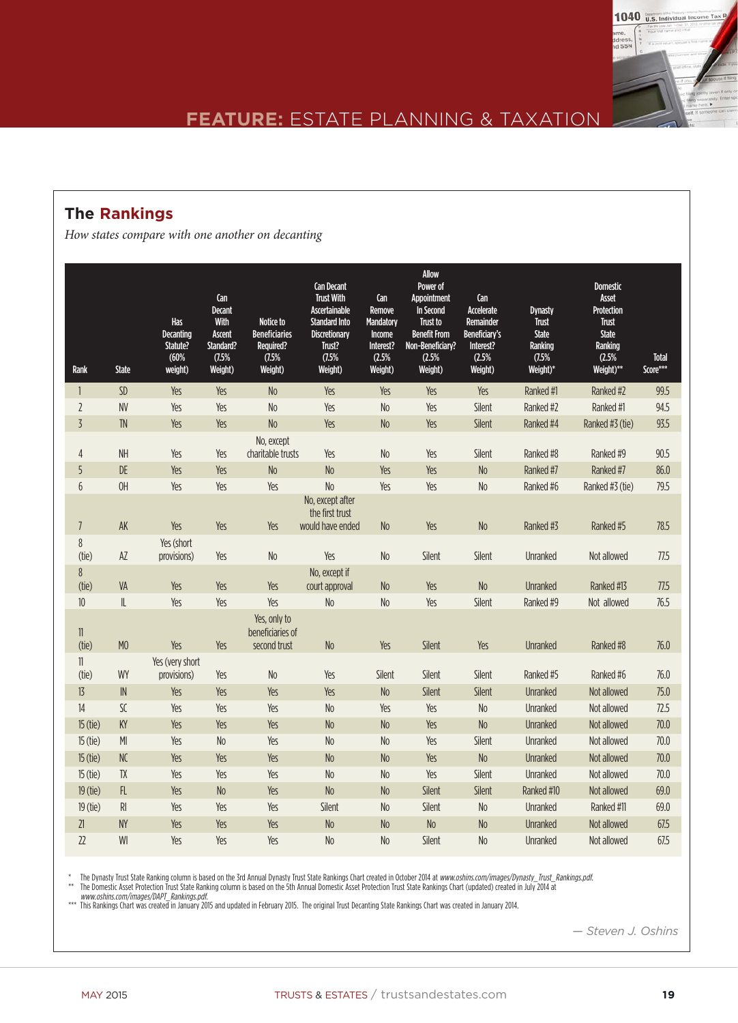

### **The Rankings**

*How states compare with one another on decanting*

| Rank                  | <b>State</b>           | Has<br><b>Decanting</b><br>Statute?<br>(60%<br>weight) | Can<br><b>Decant</b><br>With<br><b>Ascent</b><br>Standard?<br>(7.5%<br>Weight) | Notice to<br><b>Beneficiaries</b><br><b>Required?</b><br>(7.5%<br>Weight) | <b>Can Decant</b><br><b>Trust With</b><br>Ascertainable<br><b>Standard Into</b><br><b>Discretionary</b><br>Trust?<br>(7.5%<br>Weight) | Can<br>Remove<br><b>Mandatory</b><br>Income<br>Interest?<br>(2.5%<br>Weight) | <b>Allow</b><br>Power of<br>Appointment<br>In Second<br>Trust to<br><b>Benefit From</b><br>Non-Beneficiary?<br>(2.5%<br>Weight) | Can<br>Accelerate<br>Remainder<br>Beneficiary's<br>Interest?<br>(2.5%<br>Weight) | <b>Dynasty</b><br><b>Trust</b><br><b>State</b><br>Ranking<br>(7.5%<br>Weight)* | <b>Domestic</b><br>Asset<br>Protection<br>Trust<br><b>State</b><br>Ranking<br>(2.5%<br>Weight)** | <b>Total</b><br>Score*** |
|-----------------------|------------------------|--------------------------------------------------------|--------------------------------------------------------------------------------|---------------------------------------------------------------------------|---------------------------------------------------------------------------------------------------------------------------------------|------------------------------------------------------------------------------|---------------------------------------------------------------------------------------------------------------------------------|----------------------------------------------------------------------------------|--------------------------------------------------------------------------------|--------------------------------------------------------------------------------------------------|--------------------------|
| $\mathbf{1}$          | <b>SD</b>              | Yes                                                    | Yes                                                                            | N <sub>o</sub>                                                            | Yes                                                                                                                                   | Yes                                                                          | Yes                                                                                                                             | Yes                                                                              | Ranked #1                                                                      | Ranked #2                                                                                        | 99.5                     |
| $\overline{2}$        | <b>NV</b>              | Yes                                                    | Yes                                                                            | N <sub>o</sub>                                                            | Yes                                                                                                                                   | N <sub>o</sub>                                                               | Yes                                                                                                                             | Silent                                                                           | Ranked #2                                                                      | Ranked #1                                                                                        | 94.5                     |
| $\overline{3}$        | <b>TN</b>              | Yes                                                    | Yes                                                                            | N <sub>o</sub>                                                            | Yes                                                                                                                                   | N <sub>o</sub>                                                               | Yes                                                                                                                             | Silent                                                                           | Ranked #4                                                                      | Ranked #3 (tie)                                                                                  | 93.5                     |
| 4<br>5                | <b>NH</b><br>DE        | Yes<br>Yes                                             | Yes<br>Yes                                                                     | No. except<br>charitable trusts<br>N <sub>o</sub>                         | Yes<br>No                                                                                                                             | No<br>Yes                                                                    | Yes<br>Yes                                                                                                                      | Silent<br><b>No</b>                                                              | Ranked #8<br>Ranked #7                                                         | Ranked #9<br>Ranked #7                                                                           | 90.5<br>86.0             |
| $6\phantom{.}6$       | OH                     | Yes                                                    | Yes                                                                            | Yes                                                                       | N <sub>o</sub>                                                                                                                        | Yes                                                                          | Yes                                                                                                                             | No                                                                               | Ranked #6                                                                      | Ranked #3 (tie)                                                                                  | 79.5                     |
| $\overline{1}$        | AK                     | Yes                                                    | Yes                                                                            | Yes                                                                       | No, except after<br>the first trust<br>would have ended                                                                               | No                                                                           | Yes                                                                                                                             | N <sub>o</sub>                                                                   | Ranked #3                                                                      | Ranked #5                                                                                        | 78.5                     |
| 8<br>(tie)            | AZ                     | Yes (short<br>provisions)                              | Yes                                                                            | No                                                                        | Yes                                                                                                                                   | N <sub>o</sub>                                                               | Silent                                                                                                                          | Silent                                                                           | Unranked                                                                       | Not allowed                                                                                      | 77.5                     |
| 8<br>(tie)            | VA                     | Yes                                                    | Yes                                                                            | Yes                                                                       | No, except if<br>court approval                                                                                                       | N <sub>o</sub>                                                               | Yes                                                                                                                             | <b>No</b>                                                                        | <b>Unranked</b>                                                                | Ranked #13                                                                                       | 77.5                     |
| $10$                  | $\mathsf{I}\mathsf{L}$ | Yes                                                    | Yes                                                                            | Yes                                                                       | N <sub>o</sub>                                                                                                                        | N <sub>o</sub>                                                               | Yes                                                                                                                             | Silent                                                                           | Ranked #9                                                                      | Not allowed                                                                                      | 76.5                     |
| $\mathbf{1}$<br>(tie) | M <sub>0</sub>         | Yes                                                    | Yes                                                                            | Yes, only to<br>beneficiaries of<br>second trust                          | N <sub>o</sub>                                                                                                                        | Yes                                                                          | Silent                                                                                                                          | Yes                                                                              | <b>Unranked</b>                                                                | Ranked #8                                                                                        | 76.0                     |
| $\mathbb{1}$<br>(tie) | WY                     | Yes (very short<br>provisions)                         | Yes                                                                            | N <sub>o</sub>                                                            | Yes                                                                                                                                   | Silent                                                                       | Silent                                                                                                                          | Silent                                                                           | Ranked #5                                                                      | Ranked #6                                                                                        | 76.0                     |
| 13                    | ${\sf IN}$             | Yes                                                    | Yes                                                                            | Yes                                                                       | Yes                                                                                                                                   | N <sub>0</sub>                                                               | Silent                                                                                                                          | Silent                                                                           | <b>Unranked</b>                                                                | Not allowed                                                                                      | 75.0                     |
| 14                    | $\sf SC$               | Yes                                                    | Yes                                                                            | Yes                                                                       | No                                                                                                                                    | Yes                                                                          | Yes                                                                                                                             | N <sub>o</sub>                                                                   | Unranked                                                                       | Not allowed                                                                                      | 72.5                     |
| 15 (tie)              | KY                     | Yes                                                    | Yes                                                                            | Yes                                                                       | No                                                                                                                                    | No                                                                           | Yes                                                                                                                             | <b>No</b>                                                                        | <b>Unranked</b>                                                                | Not allowed                                                                                      | 70.0                     |
| 15 (tie)              | M                      | Yes                                                    | No                                                                             | Yes                                                                       | N <sub>o</sub>                                                                                                                        | No                                                                           | Yes                                                                                                                             | Silent                                                                           | <b>Unranked</b>                                                                | Not allowed                                                                                      | 70.0                     |
| 15 (tie)              | NC                     | Yes                                                    | Yes                                                                            | Yes                                                                       | N <sub>o</sub>                                                                                                                        | No                                                                           | Yes                                                                                                                             | <b>No</b>                                                                        | <b>Unranked</b>                                                                | Not allowed                                                                                      | 70.0                     |
| 15 (tie)              | ${\sf TX}$             | Yes                                                    | Yes                                                                            | Yes                                                                       | N <sub>o</sub>                                                                                                                        | N <sub>o</sub>                                                               | Yes                                                                                                                             | Silent                                                                           | <b>Unranked</b>                                                                | Not allowed                                                                                      | 70.0                     |
| 19 (tie)              | $\mathsf{FL}$          | Yes                                                    | N <sub>o</sub>                                                                 | Yes                                                                       | N <sub>o</sub>                                                                                                                        | N <sub>o</sub>                                                               | Silent                                                                                                                          | Silent                                                                           | Ranked #10                                                                     | Not allowed                                                                                      | 69.0                     |
| 19 (tie)              | $\mathsf{RI}$          | Yes                                                    | Yes                                                                            | Yes                                                                       | Silent                                                                                                                                | N <sub>o</sub>                                                               | Silent                                                                                                                          | No                                                                               | <b>Unranked</b>                                                                | Ranked #11                                                                                       | 69.0                     |
| 21                    | <b>NY</b>              | Yes                                                    | Yes                                                                            | Yes                                                                       | N <sub>o</sub>                                                                                                                        | N <sub>o</sub>                                                               | <b>No</b>                                                                                                                       | <b>No</b>                                                                        | <b>Unranked</b>                                                                | Not allowed                                                                                      | 67.5                     |
| 22                    | WI                     | Yes                                                    | Yes                                                                            | Yes                                                                       | N <sub>o</sub>                                                                                                                        | N <sub>o</sub>                                                               | Silent                                                                                                                          | N <sub>o</sub>                                                                   | <b>Unranked</b>                                                                | Not allowed                                                                                      | 67.5                     |

\* The Dynasty Trust State Ranking column is based on the 3rd Annual Dynasty Trust State Rankings Chart created in October 2014 at *www.oshins.com/images/Dynasty\_Trust\_Rankings.pdf.*<br>\*\* The Domestic Asset Protection Trust S

www.oshins.com/images/DAPT\_Rankings.pdf.<br>\*\*\* This Rankings Chart was created in January 2015 and updated in February 2015. The original Trust Decanting State Rankings Chart was created in January 2014.

*— Steven J. Oshins*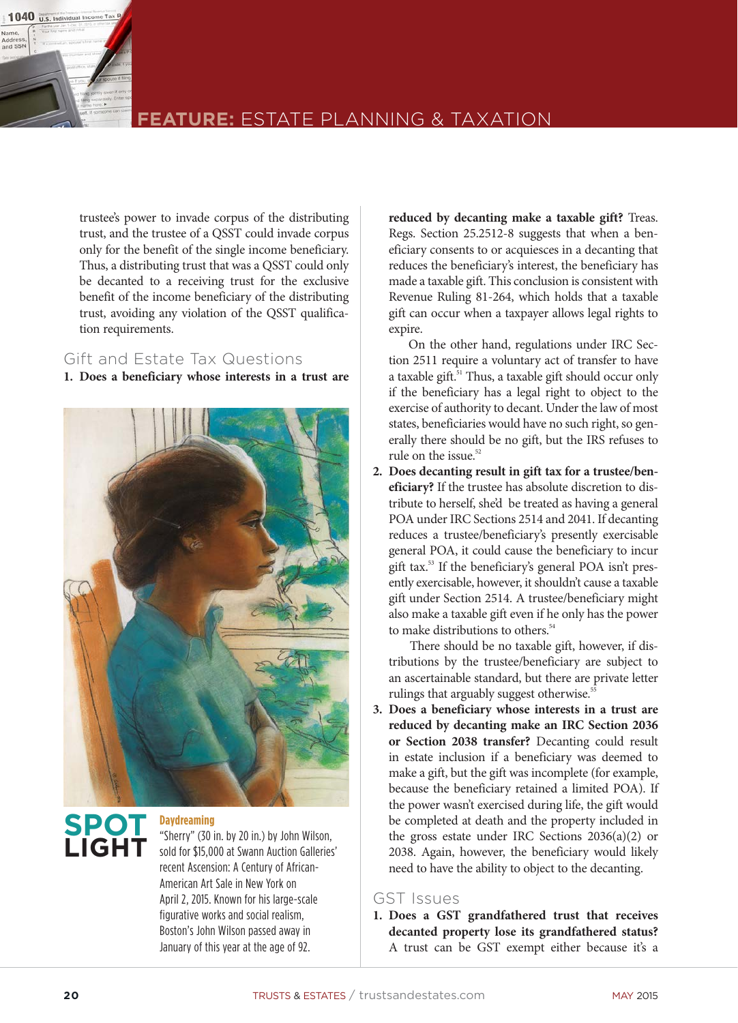

### **feature:** Estate planning & taxation

trustee's power to invade corpus of the distributing trust, and the trustee of a QSST could invade corpus only for the benefit of the single income beneficiary. Thus, a distributing trust that was a QSST could only be decanted to a receiving trust for the exclusive benefit of the income beneficiary of the distributing trust, avoiding any violation of the QSST qualification requirements.

#### Gift and Estate Tax Questions

**1. Does a beneficiary whose interests in a trust are** 



# **Spot light**

**Daydreaming**

"Sherry" (30 in. by 20 in.) by John Wilson, sold for \$15,000 at Swann Auction Galleries' recent Ascension: A Century of African-American Art Sale in New York on April 2, 2015. Known for his large-scale figurative works and social realism, Boston's John Wilson passed away in January of this year at the age of 92.

**reduced by decanting make a taxable gift?** Treas. Regs. Section 25.2512-8 suggests that when a beneficiary consents to or acquiesces in a decanting that reduces the beneficiary's interest, the beneficiary has made a taxable gift. This conclusion is consistent with Revenue Ruling 81-264, which holds that a taxable gift can occur when a taxpayer allows legal rights to expire.

 On the other hand, regulations under IRC Section 2511 require a voluntary act of transfer to have a taxable gift.<sup>51</sup> Thus, a taxable gift should occur only if the beneficiary has a legal right to object to the exercise of authority to decant. Under the law of most states, beneficiaries would have no such right, so generally there should be no gift, but the IRS refuses to rule on the issue.<sup>52</sup>

**2. Does decanting result in gift tax for a trustee/beneficiary?** If the trustee has absolute discretion to distribute to herself, she'd be treated as having a general POA under IRC Sections 2514 and 2041. If decanting reduces a trustee/beneficiary's presently exercisable general POA, it could cause the beneficiary to incur gift tax.53 If the beneficiary's general POA isn't presently exercisable, however, it shouldn't cause a taxable gift under Section 2514. A trustee/beneficiary might also make a taxable gift even if he only has the power to make distributions to others.<sup>54</sup>

 There should be no taxable gift, however, if distributions by the trustee/beneficiary are subject to an ascertainable standard, but there are private letter rulings that arguably suggest otherwise.<sup>55</sup>

**3. Does a beneficiary whose interests in a trust are reduced by decanting make an IRC Section 2036 or Section 2038 transfer?** Decanting could result in estate inclusion if a beneficiary was deemed to make a gift, but the gift was incomplete (for example, because the beneficiary retained a limited POA). If the power wasn't exercised during life, the gift would be completed at death and the property included in the gross estate under IRC Sections 2036(a)(2) or 2038. Again, however, the beneficiary would likely need to have the ability to object to the decanting.

#### GST Issues

**1. Does a GST grandfathered trust that receives decanted property lose its grandfathered status?** A trust can be GST exempt either because it's a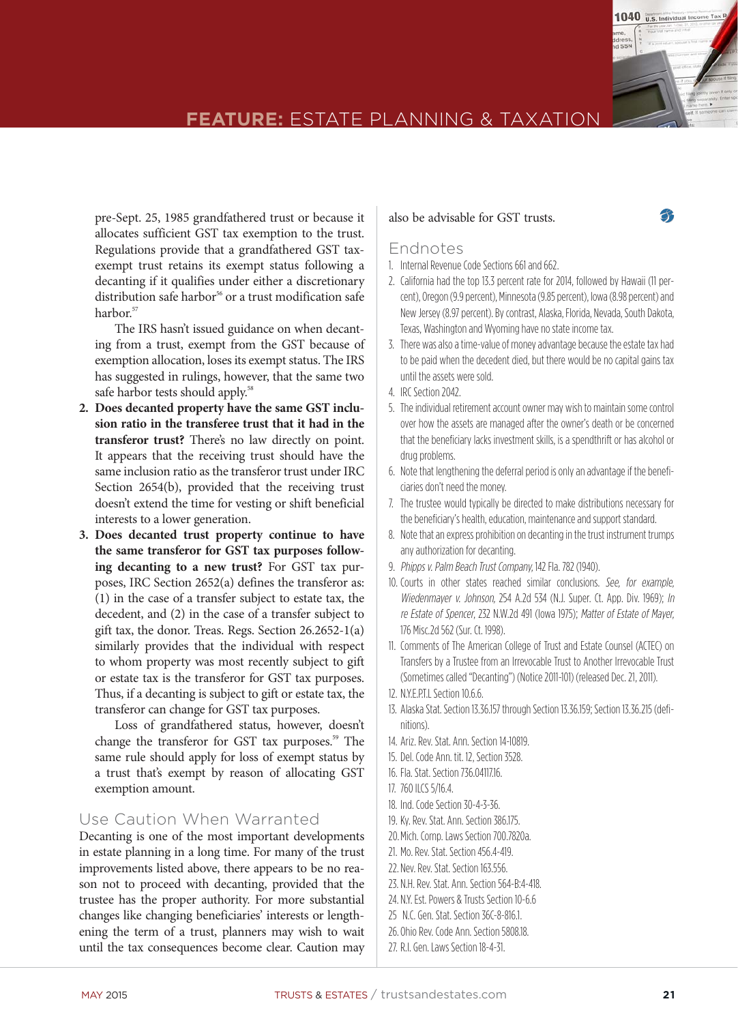

## **FEATURE:** ESTATE PLANNING & TAXATION

pre-Sept. 25, 1985 grandfathered trust or because it allocates sufficient GST tax exemption to the trust. Regulations provide that a grandfathered GST taxexempt trust retains its exempt status following a decanting if it qualifies under either a discretionary distribution safe harbor<sup>56</sup> or a trust modification safe harbor.<sup>57</sup>

 The IRS hasn't issued guidance on when decanting from a trust, exempt from the GST because of exemption allocation, loses its exempt status. The IRS has suggested in rulings, however, that the same two safe harbor tests should apply.<sup>58</sup>

- **2. Does decanted property have the same GST inclusion ratio in the transferee trust that it had in the transferor trust?** There's no law directly on point. It appears that the receiving trust should have the same inclusion ratio as the transferor trust under IRC Section 2654(b), provided that the receiving trust doesn't extend the time for vesting or shift beneficial interests to a lower generation.
- **3. Does decanted trust property continue to have the same transferor for GST tax purposes following decanting to a new trust?** For GST tax purposes, IRC Section 2652(a) defines the transferor as: (1) in the case of a transfer subject to estate tax, the decedent, and (2) in the case of a transfer subject to gift tax, the donor. Treas. Regs. Section 26.2652-1(a) similarly provides that the individual with respect to whom property was most recently subject to gift or estate tax is the transferor for GST tax purposes. Thus, if a decanting is subject to gift or estate tax, the transferor can change for GST tax purposes.

 Loss of grandfathered status, however, doesn't change the transferor for GST tax purposes.<sup>59</sup> The same rule should apply for loss of exempt status by a trust that's exempt by reason of allocating GST exemption amount.

#### Use Caution When Warranted

Decanting is one of the most important developments in estate planning in a long time. For many of the trust improvements listed above, there appears to be no reason not to proceed with decanting, provided that the trustee has the proper authority. For more substantial changes like changing beneficiaries' interests or lengthening the term of a trust, planners may wish to wait until the tax consequences become clear. Caution may

#### also be advisable for GST trusts.

#### Endnotes

- 1. Internal Revenue Code Sections 661 and 662.
- 2. California had the top 13.3 percent rate for 2014, followed by Hawaii (11 percent), Oregon (9.9 percent), Minnesota (9.85 percent), Iowa (8.98 percent) and New Jersey (8.97 percent). By contrast, Alaska, Florida, Nevada, South Dakota, Texas, Washington and Wyoming have no state income tax.
- 3. There was also a time-value of money advantage because the estate tax had to be paid when the decedent died, but there would be no capital gains tax until the assets were sold.
- 4. IRC Section 2042.
- 5. The individual retirement account owner may wish to maintain some control over how the assets are managed after the owner's death or be concerned that the beneficiary lacks investment skills, is a spendthrift or has alcohol or drug problems.
- 6. Note that lengthening the deferral period is only an advantage if the beneficiaries don't need the money.
- 7. The trustee would typically be directed to make distributions necessary for the beneficiary's health, education, maintenance and support standard.
- 8. Note that an express prohibition on decanting in the trust instrument trumps any authorization for decanting.
- 9. Phipps v. Palm Beach Trust Company, 142 Fla. 782 (1940).
- 10. Courts in other states reached similar conclusions. See, for example, Wiedenmayer v. Johnson, 254 A.2d 534 (N.J. Super. Ct. App. Div. 1969); In re Estate of Spencer, 232 N.W.2d 491 (Iowa 1975); Matter of Estate of Mayer, 176 Misc.2d 562 (Sur. Ct. 1998).
- 11. Comments of The American College of Trust and Estate Counsel (ACTEC) on Transfers by a Trustee from an Irrevocable Trust to Another Irrevocable Trust (Sometimes called"Decanting") (Notice2011-101) (released Dec. 21, 2011).
- 12. N.Y.E.P.T.L Section 10.6.6.
- 13. Alaska Stat. Section 13.36.157 through Section 13.36.159; Section 13.36.215 (definitions).
- 14. Ariz. Rev. Stat. Ann. Section 14-10819.
- 15. Del. Code Ann. tit. 12, Section 3528.
- 16. Fla. Stat. Section 736.04117.16.
- 17. 760 ILCS 5/16.4.
- 18. Ind. Code Section 30-4-3-36.
- 19. Ky. Rev. Stat. Ann. Section 386.175.
- 20. Mich. Comp. Laws Section 700.7820a.
- 21. Mo. Rev. Stat. Section 456.4-419.
- 22. Nev. Rev. Stat. Section 163.556.
- 23. N.H. Rev. Stat. Ann. Section 564-B:4-418.
- 24. N.Y. Est. Powers & Trusts Section 10-6.6
- 25 N.C. Gen. Stat. Section 36C-8-816.1.
- 26. Ohio Rev. Code Ann. Section 5808.18.
- 27. R.I. Gen. Laws Section 18-4-31.